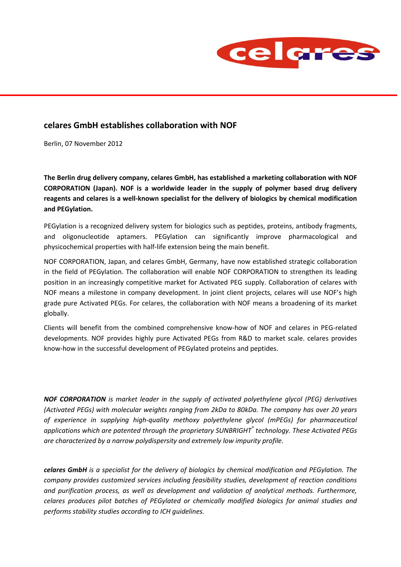

## **celares GmbH establishes collaboration with NOF**

Berlin, 07 November 2012

**The Berlin drug delivery company, celares GmbH, has established a marketing collaboration with NOF CORPORATION (Japan). NOF is a worldwide leader in the supply of polymer based drug delivery reagents and celares is a well-known specialist for the delivery of biologics by chemical modification and PEGylation.**

PEGylation is a recognized delivery system for biologics such as peptides, proteins, antibody fragments, and oligonucleotide aptamers. PEGylation can significantly improve pharmacological and physicochemical properties with half-life extension being the main benefit.

NOF CORPORATION, Japan, and celares GmbH, Germany, have now established strategic collaboration in the field of PEGylation. The collaboration will enable NOF CORPORATION to strengthen its leading position in an increasingly competitive market for Activated PEG supply. Collaboration of celares with NOF means a milestone in company development. In joint client projects, celares will use NOF's high grade pure Activated PEGs. For celares, the collaboration with NOF means a broadening of its market globally.

Clients will benefit from the combined comprehensive know-how of NOF and celares in PEG-related developments. NOF provides highly pure Activated PEGs from R&D to market scale. celares provides know-how in the successful development of PEGylated proteins and peptides.

*NOF CORPORATION is market leader in the supply of activated polyethylene glycol (PEG) derivatives (Activated PEGs) with molecular weights ranging from 2kDa to 80kDa. The company has over 20 years of experience in supplying high-quality methoxy polyethylene glycol (mPEGs) for pharmaceutical applications which are patented through the proprietary SUNBRIGHT® technology. These Activated PEGs are characterized by a narrow polydispersity and extremely low impurity profile.*

*celares GmbH is a specialist for the delivery of biologics by chemical modification and PEGylation. The company provides customized services including feasibility studies, development of reaction conditions and purification process, as well as development and validation of analytical methods. Furthermore, celares produces pilot batches of PEGylated or chemically modified biologics for animal studies and performs stability studies according to ICH guidelines.*